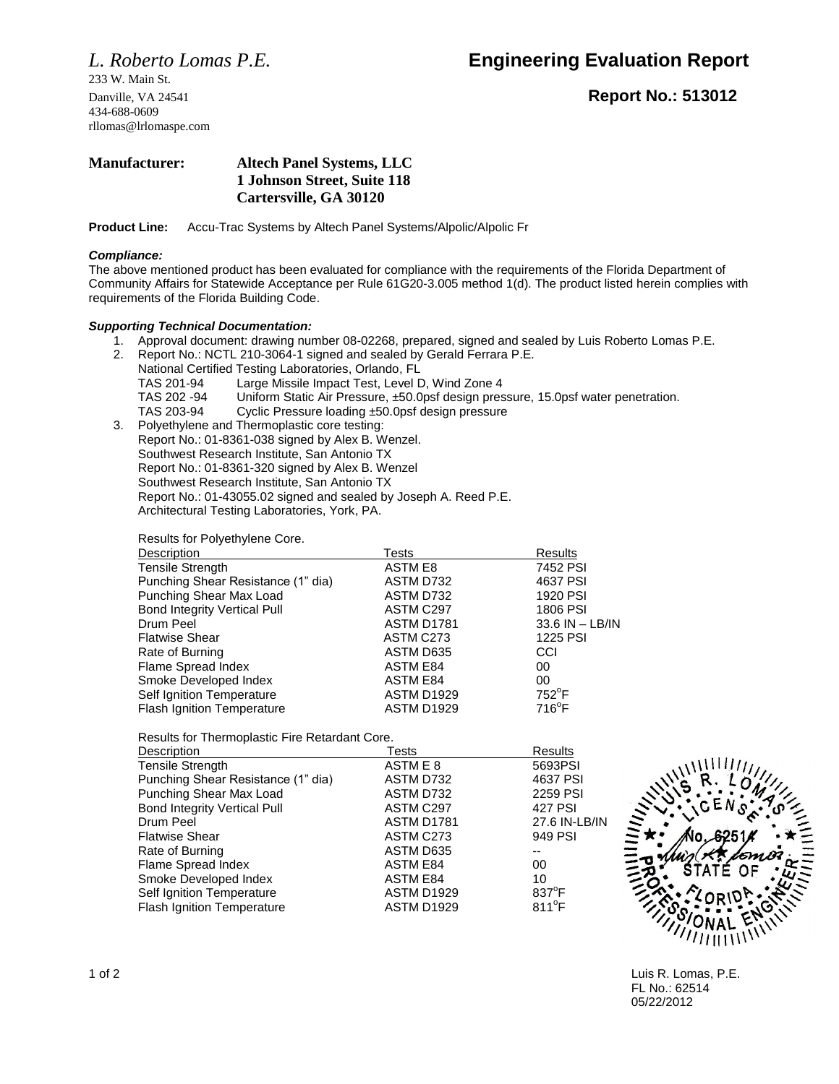233 W. Main St. 434-688-0609 rllomas@lrlomaspe.com

# *L. Roberto Lomas P.E.* **Engineering Evaluation Report**

Danville, VA 24541 **Report No.: 513012**

## **Manufacturer: Altech Panel Systems, LLC 1 Johnson Street, Suite 118 Cartersville, GA 30120**

**Product Line:** Accu-Trac Systems by Altech Panel Systems/Alpolic/Alpolic Fr

### *Compliance:*

The above mentioned product has been evaluated for compliance with the requirements of the Florida Department of Community Affairs for Statewide Acceptance per Rule 61G20-3.005 method 1(d). The product listed herein complies with requirements of the Florida Building Code.

## *Supporting Technical Documentation:*

- 1. Approval document: drawing number 08-02268, prepared, signed and sealed by Luis Roberto Lomas P.E.
- 2. Report No.: NCTL 210-3064-1 signed and sealed by Gerald Ferrara P.E.
	- National Certified Testing Laboratories, Orlando, FL TAS 201-94 Large Missile Impact Test, Level D, Wind Zone 4
		- TAS 202 -94 Uniform Static Air Pressure, ±50.0psf design pressure, 15.0psf water penetration.
		- TAS 203-94 Cyclic Pressure loading ±50.0psf design pressure
- 3. Polyethylene and Thermoplastic core testing: Report No.: 01-8361-038 signed by Alex B. Wenzel. Southwest Research Institute, San Antonio TX Report No.: 01-8361-320 signed by Alex B. Wenzel Southwest Research Institute, San Antonio TX Report No.: 01-43055.02 signed and sealed by Joseph A. Reed P.E. Architectural Testing Laboratories, York, PA.

Results for Polyethylene Core.

| Tests             | Results         |
|-------------------|-----------------|
| ASTM E8           | 7452 PSI        |
| ASTM D732         | 4637 PSI        |
| ASTM D732         | 1920 PSI        |
| ASTM C297         | 1806 PSI        |
| ASTM D1781        | 33.6 IN - LB/IN |
| ASTM C273         | 1225 PSI        |
| ASTM D635         | CCI             |
| <b>ASTM E84</b>   | 00              |
| <b>ASTM E84</b>   | $00\,$          |
| <b>ASTM D1929</b> | $752^{\circ}$ F |
| <b>ASTM D1929</b> | $716^{\circ}F$  |
|                   |                 |

Results for Thermoplastic Fire Retardant Core.

| Tests             | Results         |
|-------------------|-----------------|
| ASTM E 8          | 5693PSI         |
| ASTM D732         | 4637 PSI        |
| ASTM D732         | 2259 PSI        |
| ASTM C297         | 427 PSI         |
| <b>ASTM D1781</b> | 27.6 IN-LB/IN   |
| ASTM C273         | 949 PSI         |
| ASTM D635         |                 |
| <b>ASTM E84</b>   | 00              |
| <b>ASTM E84</b>   | 10              |
| ASTM D1929        | $837^{\circ}$ F |
| <b>ASTM D1929</b> | $811^{\circ}F$  |
|                   |                 |



1 of 2 Luis R. Lomas, P.E. FL No.: 62514 05/22/2012